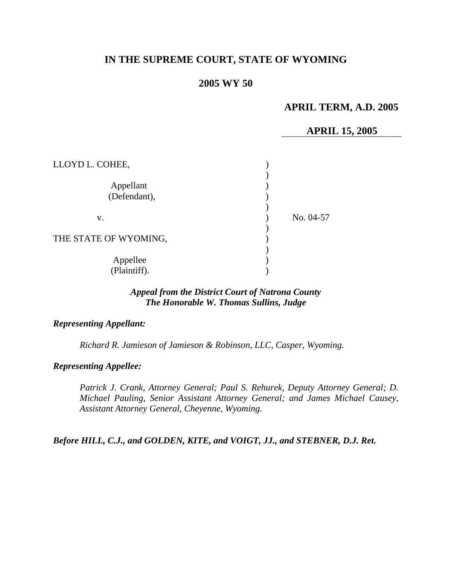# **IN THE SUPREME COURT, STATE OF WYOMING**

### **2005 WY 50**

## **APRIL TERM, A.D. 2005**

#### **APRIL 15, 2005**

| LLOYD L. COHEE,           |           |
|---------------------------|-----------|
| Appellant<br>(Defendant), |           |
| V.                        | No. 04-57 |
| THE STATE OF WYOMING,     |           |
| Appellee<br>(Plaintiff).  |           |

#### *Appeal from the District Court of Natrona County The Honorable W. Thomas Sullins, Judge*

#### *Representing Appellant:*

*Richard R. Jamieson of Jamieson & Robinson, LLC, Casper, Wyoming.* 

#### *Representing Appellee:*

*Patrick J. Crank, Attorney General; Paul S. Rehurek, Deputy Attorney General; D. Michael Pauling, Senior Assistant Attorney General; and James Michael Causey, Assistant Attorney General, Cheyenne, Wyoming.* 

*Before HILL, C.J., and GOLDEN, KITE, and VOIGT, JJ., and STEBNER, D.J. Ret.*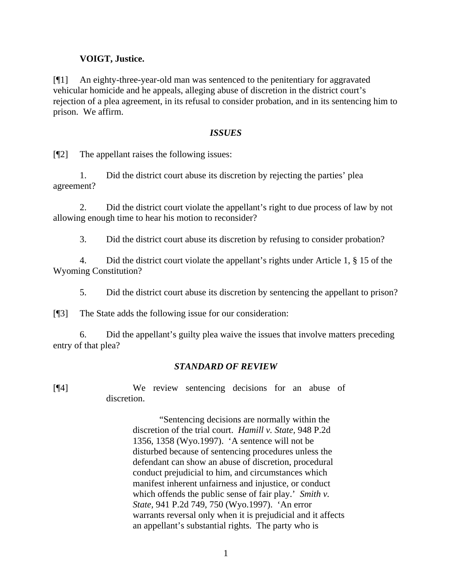#### **VOIGT, Justice.**

[¶1] An eighty-three-year-old man was sentenced to the penitentiary for aggravated vehicular homicide and he appeals, alleging abuse of discretion in the district court's rejection of a plea agreement, in its refusal to consider probation, and in its sentencing him to prison. We affirm.

#### *ISSUES*

[¶2] The appellant raises the following issues:

1. Did the district court abuse its discretion by rejecting the parties' plea agreement?

2. Did the district court violate the appellant's right to due process of law by not allowing enough time to hear his motion to reconsider?

3. Did the district court abuse its discretion by refusing to consider probation?

4. Did the district court violate the appellant's rights under Article 1, § 15 of the Wyoming Constitution?

5. Did the district court abuse its discretion by sentencing the appellant to prison?

[¶3] The State adds the following issue for our consideration:

6. Did the appellant's guilty plea waive the issues that involve matters preceding entry of that plea?

#### *STANDARD OF REVIEW*

[¶4] We review sentencing decisions for an abuse of discretion.

> "Sentencing decisions are normally within the discretion of the trial court. *Hamill v. State,* 948 P.2d 1356, 1358 (Wyo.1997). 'A sentence will not be disturbed because of sentencing procedures unless the defendant can show an abuse of discretion, procedural conduct prejudicial to him, and circumstances which manifest inherent unfairness and injustice, or conduct which offends the public sense of fair play.' *Smith v. State,* 941 P.2d 749, 750 (Wyo.1997). 'An error warrants reversal only when it is prejudicial and it affects an appellant's substantial rights. The party who is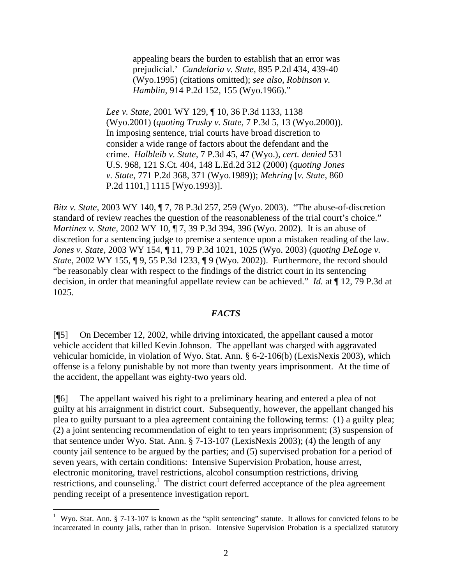appealing bears the burden to establish that an error was prejudicial.' *Candelaria v. State,* 895 P.2d 434, 439-40 (Wyo.1995) (citations omitted); *see also, Robinson v. Hamblin,* 914 P.2d 152, 155 (Wyo.1966)."

*Lee v. State,* 2001 WY 129, ¶ 10, 36 P.3d 1133, 1138 (Wyo.2001) (*quoting Trusky v. State,* 7 P.3d 5, 13 (Wyo.2000)). In imposing sentence, trial courts have broad discretion to consider a wide range of factors about the defendant and the crime. *Halbleib v. State,* 7 P.3d 45, 47 (Wyo.), *cert. denied* 531 U.S. 968, 121 S.Ct. 404, 148 L.Ed.2d 312 (2000) (*quoting Jones v. State,* 771 P.2d 368, 371 (Wyo.1989)); *Mehring* [*v. State*, 860 P.2d 1101,] 1115 [Wyo.1993)].

*Bitz v. State,* 2003 WY 140, ¶ 7, 78 P.3d 257, 259 (Wyo. 2003). "The abuse-of-discretion standard of review reaches the question of the reasonableness of the trial court's choice." *Martinez v. State,* 2002 WY 10, ¶ 7, 39 P.3d 394, 396 (Wyo. 2002). It is an abuse of discretion for a sentencing judge to premise a sentence upon a mistaken reading of the law. *Jones v. State,* 2003 WY 154, ¶ 11, 79 P.3d 1021, 1025 (Wyo. 2003) (*quoting DeLoge v. State*, 2002 WY 155, ¶ 9, 55 P.3d 1233, ¶ 9 (Wyo. 2002)). Furthermore, the record should "be reasonably clear with respect to the findings of the district court in its sentencing decision, in order that meaningful appellate review can be achieved." *Id.* at ¶ 12, 79 P.3d at 1025.

#### *FACTS*

[¶5] On December 12, 2002, while driving intoxicated, the appellant caused a motor vehicle accident that killed Kevin Johnson. The appellant was charged with aggravated vehicular homicide, in violation of Wyo. Stat. Ann. § 6-2-106(b) (LexisNexis 2003), which offense is a felony punishable by not more than twenty years imprisonment. At the time of the accident, the appellant was eighty-two years old.

[¶6] The appellant waived his right to a preliminary hearing and entered a plea of not guilty at his arraignment in district court. Subsequently, however, the appellant changed his plea to guilty pursuant to a plea agreement containing the following terms: (1) a guilty plea; (2) a joint sentencing recommendation of eight to ten years imprisonment; (3) suspension of that sentence under Wyo. Stat. Ann. § 7-13-107 (LexisNexis 2003); (4) the length of any county jail sentence to be argued by the parties; and (5) supervised probation for a period of seven years, with certain conditions: Intensive Supervision Probation, house arrest, electronic monitoring, travel restrictions, alcohol consumption restrictions, driving restrictions, and counseling.<sup>1</sup> The district court deferred acceptance of the plea agreement pending receipt of a presentence investigation report.

<span id="page-2-0"></span><sup>&</sup>lt;sup>1</sup> Wyo. Stat. Ann. § 7-13-107 is known as the "split sentencing" statute. It allows for convicted felons to be incarcerated in county jails, rather than in prison. Intensive Supervision Probation is a specialized statutory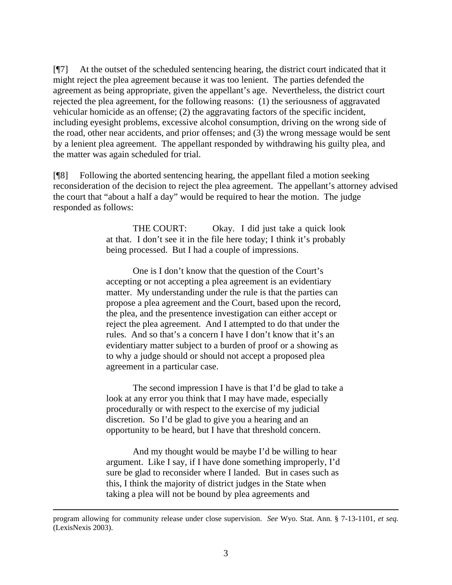[¶7] At the outset of the scheduled sentencing hearing, the district court indicated that it might reject the plea agreement because it was too lenient. The parties defended the agreement as being appropriate, given the appellant's age. Nevertheless, the district court rejected the plea agreement, for the following reasons: (1) the seriousness of aggravated vehicular homicide as an offense; (2) the aggravating factors of the specific incident, including eyesight problems, excessive alcohol consumption, driving on the wrong side of the road, other near accidents, and prior offenses; and (3) the wrong message would be sent by a lenient plea agreement. The appellant responded by withdrawing his guilty plea, and the matter was again scheduled for trial.

[¶8] Following the aborted sentencing hearing, the appellant filed a motion seeking reconsideration of the decision to reject the plea agreement. The appellant's attorney advised the court that "about a half a day" would be required to hear the motion. The judge responded as follows:

> THE COURT: Okay. I did just take a quick look at that. I don't see it in the file here today; I think it's probably being processed. But I had a couple of impressions.

One is I don't know that the question of the Court's accepting or not accepting a plea agreement is an evidentiary matter. My understanding under the rule is that the parties can propose a plea agreement and the Court, based upon the record, the plea, and the presentence investigation can either accept or reject the plea agreement. And I attempted to do that under the rules. And so that's a concern I have I don't know that it's an evidentiary matter subject to a burden of proof or a showing as to why a judge should or should not accept a proposed plea agreement in a particular case.

The second impression I have is that I'd be glad to take a look at any error you think that I may have made, especially procedurally or with respect to the exercise of my judicial discretion. So I'd be glad to give you a hearing and an opportunity to be heard, but I have that threshold concern.

And my thought would be maybe I'd be willing to hear argument. Like I say, if I have done something improperly, I'd sure be glad to reconsider where I landed. But in cases such as this, I think the majority of district judges in the State when taking a plea will not be bound by plea agreements and

program allowing for community release under close supervision. *See* Wyo. Stat. Ann. § 7-13-1101, *et seq.*  (LexisNexis 2003).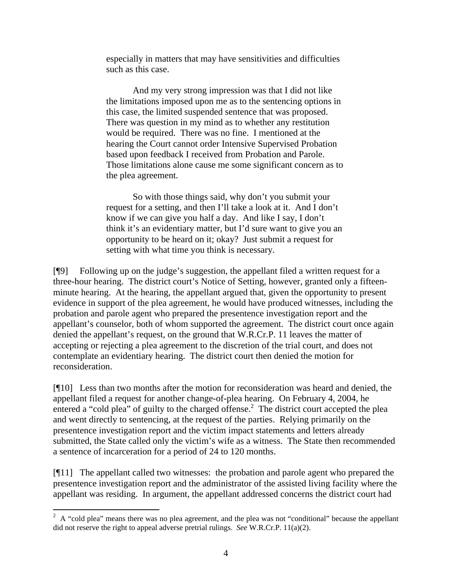especially in matters that may have sensitivities and difficulties such as this case.

And my very strong impression was that I did not like the limitations imposed upon me as to the sentencing options in this case, the limited suspended sentence that was proposed. There was question in my mind as to whether any restitution would be required. There was no fine. I mentioned at the hearing the Court cannot order Intensive Supervised Probation based upon feedback I received from Probation and Parole. Those limitations alone cause me some significant concern as to the plea agreement.

So with those things said, why don't you submit your request for a setting, and then I'll take a look at it. And I don't know if we can give you half a day. And like I say, I don't think it's an evidentiary matter, but I'd sure want to give you an opportunity to be heard on it; okay? Just submit a request for setting with what time you think is necessary.

[¶9] Following up on the judge's suggestion, the appellant filed a written request for a three-hour hearing. The district court's Notice of Setting, however, granted only a fifteenminute hearing. At the hearing, the appellant argued that, given the opportunity to present evidence in support of the plea agreement, he would have produced witnesses, including the probation and parole agent who prepared the presentence investigation report and the appellant's counselor, both of whom supported the agreement. The district court once again denied the appellant's request, on the ground that W.R.Cr.P. 11 leaves the matter of accepting or rejecting a plea agreement to the discretion of the trial court, and does not contemplate an evidentiary hearing. The district court then denied the motion for reconsideration.

[¶10] Less than two months after the motion for reconsideration was heard and denied, the appellant filed a request for another change-of-plea hearing. On February 4, 2004, he entered a "cold plea" of guilty to the charged offense.<sup>[2](#page-4-0)</sup> The district court accepted the plea and went directly to sentencing, at the request of the parties. Relying primarily on the presentence investigation report and the victim impact statements and letters already submitted, the State called only the victim's wife as a witness. The State then recommended a sentence of incarceration for a period of 24 to 120 months.

[¶11] The appellant called two witnesses: the probation and parole agent who prepared the presentence investigation report and the administrator of the assisted living facility where the appellant was residing. In argument, the appellant addressed concerns the district court had

<span id="page-4-0"></span><sup>&</sup>lt;sup>2</sup> A "cold plea" means there was no plea agreement, and the plea was not "conditional" because the appellant did not reserve the right to appeal adverse pretrial rulings. *See* W.R.Cr.P. 11(a)(2).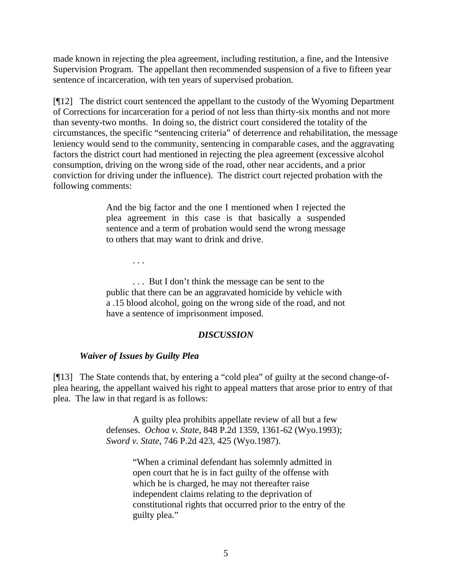made known in rejecting the plea agreement, including restitution, a fine, and the Intensive Supervision Program. The appellant then recommended suspension of a five to fifteen year sentence of incarceration, with ten years of supervised probation.

[¶12] The district court sentenced the appellant to the custody of the Wyoming Department of Corrections for incarceration for a period of not less than thirty-six months and not more than seventy-two months. In doing so, the district court considered the totality of the circumstances, the specific "sentencing criteria" of deterrence and rehabilitation, the message leniency would send to the community, sentencing in comparable cases, and the aggravating factors the district court had mentioned in rejecting the plea agreement (excessive alcohol consumption, driving on the wrong side of the road, other near accidents, and a prior conviction for driving under the influence). The district court rejected probation with the following comments:

> And the big factor and the one I mentioned when I rejected the plea agreement in this case is that basically a suspended sentence and a term of probation would send the wrong message to others that may want to drink and drive.

> > . . .

. . . But I don't think the message can be sent to the public that there can be an aggravated homicide by vehicle with a .15 blood alcohol, going on the wrong side of the road, and not have a sentence of imprisonment imposed.

#### *DISCUSSION*

#### *Waiver of Issues by Guilty Plea*

[¶13] The State contends that, by entering a "cold plea" of guilty at the second change-ofplea hearing, the appellant waived his right to appeal matters that arose prior to entry of that plea. The law in that regard is as follows:

> A guilty plea prohibits appellate review of all but a few defenses. *Ochoa v. State,* 848 P.2d 1359, 1361-62 (Wyo.1993); *Sword v. State,* 746 P.2d 423, 425 (Wyo.1987).

> > "When a criminal defendant has solemnly admitted in open court that he is in fact guilty of the offense with which he is charged, he may not thereafter raise independent claims relating to the deprivation of constitutional rights that occurred prior to the entry of the guilty plea."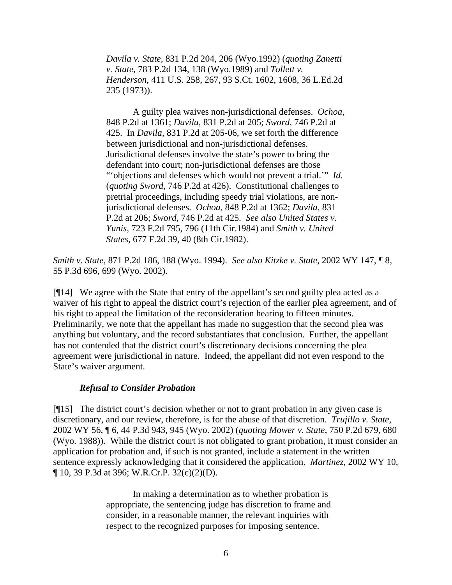*Davila v. State,* 831 P.2d 204, 206 (Wyo.1992) (*quoting Zanetti v. State,* 783 P.2d 134, 138 (Wyo.1989) and *Tollett v. Henderson,* 411 U.S. 258, 267, 93 S.Ct. 1602, 1608, 36 L.Ed.2d 235 (1973)).

A guilty plea waives non-jurisdictional defenses. *Ochoa*, 848 P.2d at 1361; *Davila,* 831 P.2d at 205; *Sword,* 746 P.2d at 425. In *Davila*, 831 P.2d at 205-06, we set forth the difference between jurisdictional and non-jurisdictional defenses. Jurisdictional defenses involve the state's power to bring the defendant into court; non-jurisdictional defenses are those "'objections and defenses which would not prevent a trial.'" *Id.*  (*quoting Sword,* 746 P.2d at 426). Constitutional challenges to pretrial proceedings, including speedy trial violations, are nonjurisdictional defenses. *Ochoa,* 848 P.2d at 1362; *Davila,* 831 P.2d at 206; *Sword,* 746 P.2d at 425. *See also United States v. Yunis,* 723 F.2d 795, 796 (11th Cir.1984) and *Smith v. United States,* 677 F.2d 39, 40 (8th Cir.1982).

*Smith v. State,* 871 P.2d 186, 188 (Wyo. 1994). *See also Kitzke v. State,* 2002 WY 147, ¶ 8, 55 P.3d 696, 699 (Wyo. 2002).

[¶14] We agree with the State that entry of the appellant's second guilty plea acted as a waiver of his right to appeal the district court's rejection of the earlier plea agreement, and of his right to appeal the limitation of the reconsideration hearing to fifteen minutes. Preliminarily, we note that the appellant has made no suggestion that the second plea was anything but voluntary, and the record substantiates that conclusion. Further, the appellant has not contended that the district court's discretionary decisions concerning the plea agreement were jurisdictional in nature. Indeed, the appellant did not even respond to the State's waiver argument.

#### *Refusal to Consider Probation*

[¶15] The district court's decision whether or not to grant probation in any given case is discretionary, and our review, therefore, is for the abuse of that discretion. *Trujillo v. State,*  2002 WY 56, ¶ 6, 44 P.3d 943, 945 (Wyo. 2002) (*quoting Mower v. State*, 750 P.2d 679, 680 (Wyo. 1988)). While the district court is not obligated to grant probation, it must consider an application for probation and, if such is not granted, include a statement in the written sentence expressly acknowledging that it considered the application. *Martinez,* 2002 WY 10, ¶ 10, 39 P.3d at 396; W.R.Cr.P. 32(c)(2)(D).

> In making a determination as to whether probation is appropriate, the sentencing judge has discretion to frame and consider, in a reasonable manner, the relevant inquiries with respect to the recognized purposes for imposing sentence.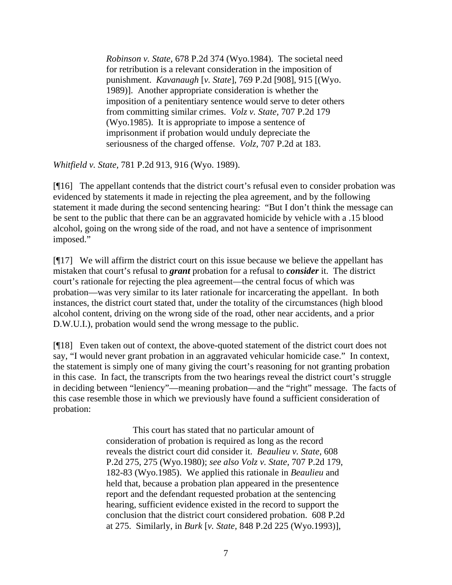*Robinson v. State,* 678 P.2d 374 (Wyo.1984). The societal need for retribution is a relevant consideration in the imposition of punishment. *Kavanaugh* [*v. State*], 769 P.2d [908], 915 [(Wyo. 1989)]. Another appropriate consideration is whether the imposition of a penitentiary sentence would serve to deter others from committing similar crimes. *Volz v. State,* 707 P.2d 179 (Wyo.1985). It is appropriate to impose a sentence of imprisonment if probation would unduly depreciate the seriousness of the charged offense. *Volz,* 707 P.2d at 183.

*Whitfield v. State,* 781 P.2d 913, 916 (Wyo. 1989).

[¶16] The appellant contends that the district court's refusal even to consider probation was evidenced by statements it made in rejecting the plea agreement, and by the following statement it made during the second sentencing hearing: "But I don't think the message can be sent to the public that there can be an aggravated homicide by vehicle with a .15 blood alcohol, going on the wrong side of the road, and not have a sentence of imprisonment imposed."

[¶17] We will affirm the district court on this issue because we believe the appellant has mistaken that court's refusal to *grant* probation for a refusal to *consider* it. The district court's rationale for rejecting the plea agreement—the central focus of which was probation—was very similar to its later rationale for incarcerating the appellant. In both instances, the district court stated that, under the totality of the circumstances (high blood alcohol content, driving on the wrong side of the road, other near accidents, and a prior D.W.U.I.), probation would send the wrong message to the public.

[¶18] Even taken out of context, the above-quoted statement of the district court does not say, "I would never grant probation in an aggravated vehicular homicide case." In context, the statement is simply one of many giving the court's reasoning for not granting probation in this case. In fact, the transcripts from the two hearings reveal the district court's struggle in deciding between "leniency"—meaning probation—and the "right" message. The facts of this case resemble those in which we previously have found a sufficient consideration of probation:

> This court has stated that no particular amount of consideration of probation is required as long as the record reveals the district court did consider it. *Beaulieu v. State,* 608 P.2d 275, 275 (Wyo.1980); *see also Volz v. State,* 707 P.2d 179, 182-83 (Wyo.1985). We applied this rationale in *Beaulieu* and held that, because a probation plan appeared in the presentence report and the defendant requested probation at the sentencing hearing, sufficient evidence existed in the record to support the conclusion that the district court considered probation. 608 P.2d at 275. Similarly, in *Burk* [*v. State,* 848 P.2d 225 (Wyo.1993)],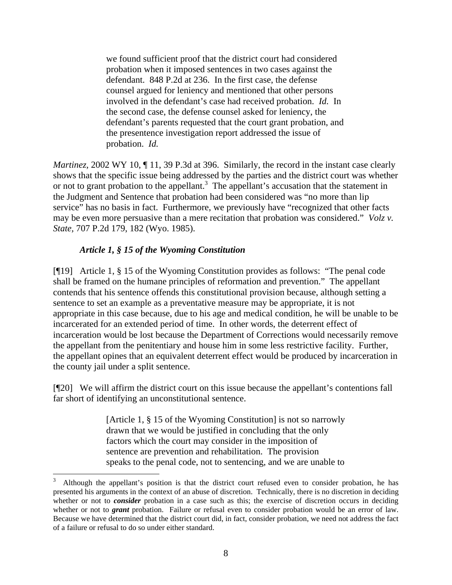we found sufficient proof that the district court had considered probation when it imposed sentences in two cases against the defendant. 848 P.2d at 236. In the first case, the defense counsel argued for leniency and mentioned that other persons involved in the defendant's case had received probation. *Id.* In the second case, the defense counsel asked for leniency, the defendant's parents requested that the court grant probation, and the presentence investigation report addressed the issue of probation. *Id.* 

*Martinez*, 2002 WY 10, 11, 39 P.3d at 396. Similarly, the record in the instant case clearly shows that the specific issue being addressed by the parties and the district court was whether or not to grant probation to the appellant.<sup>[3](#page-8-0)</sup> The appellant's accusation that the statement in the Judgment and Sentence that probation had been considered was "no more than lip service" has no basis in fact. Furthermore, we previously have "recognized that other facts may be even more persuasive than a mere recitation that probation was considered." *Volz v. State,* 707 P.2d 179, 182 (Wyo. 1985).

### *Article 1, § 15 of the Wyoming Constitution*

[¶19] Article 1, § 15 of the Wyoming Constitution provides as follows: "The penal code shall be framed on the humane principles of reformation and prevention." The appellant contends that his sentence offends this constitutional provision because, although setting a sentence to set an example as a preventative measure may be appropriate, it is not appropriate in this case because, due to his age and medical condition, he will be unable to be incarcerated for an extended period of time. In other words, the deterrent effect of incarceration would be lost because the Department of Corrections would necessarily remove the appellant from the penitentiary and house him in some less restrictive facility. Further, the appellant opines that an equivalent deterrent effect would be produced by incarceration in the county jail under a split sentence.

[¶20] We will affirm the district court on this issue because the appellant's contentions fall far short of identifying an unconstitutional sentence.

> [Article 1, § 15 of the Wyoming Constitution] is not so narrowly drawn that we would be justified in concluding that the only factors which the court may consider in the imposition of sentence are prevention and rehabilitation. The provision speaks to the penal code, not to sentencing, and we are unable to

<span id="page-8-0"></span><sup>3</sup> Although the appellant's position is that the district court refused even to consider probation, he has presented his arguments in the context of an abuse of discretion. Technically, there is no discretion in deciding whether or not to *consider* probation in a case such as this; the exercise of discretion occurs in deciding whether or not to *grant* probation. Failure or refusal even to consider probation would be an error of law. Because we have determined that the district court did, in fact, consider probation, we need not address the fact of a failure or refusal to do so under either standard.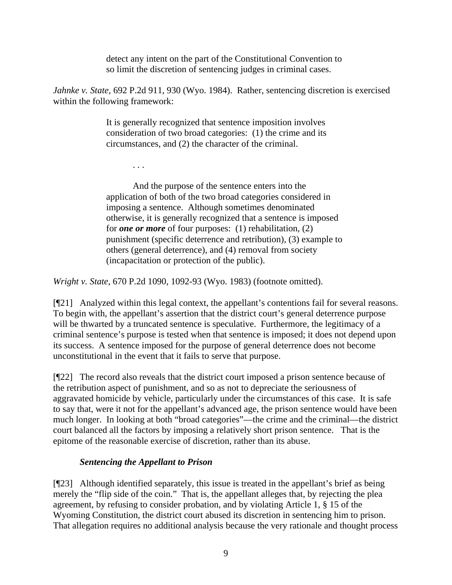detect any intent on the part of the Constitutional Convention to so limit the discretion of sentencing judges in criminal cases.

*Jahnke v. State,* 692 P.2d 911, 930 (Wyo. 1984). Rather, sentencing discretion is exercised within the following framework:

> It is generally recognized that sentence imposition involves consideration of two broad categories: (1) the crime and its circumstances, and (2) the character of the criminal.

And the purpose of the sentence enters into the application of both of the two broad categories considered in imposing a sentence. Although sometimes denominated otherwise, it is generally recognized that a sentence is imposed for *one or more* of four purposes: (1) rehabilitation, (2) punishment (specific deterrence and retribution), (3) example to others (general deterrence), and (4) removal from society (incapacitation or protection of the public).

*Wright v. State,* 670 P.2d 1090, 1092-93 (Wyo. 1983) (footnote omitted).

[¶21] Analyzed within this legal context, the appellant's contentions fail for several reasons. To begin with, the appellant's assertion that the district court's general deterrence purpose will be thwarted by a truncated sentence is speculative. Furthermore, the legitimacy of a criminal sentence's purpose is tested when that sentence is imposed; it does not depend upon its success. A sentence imposed for the purpose of general deterrence does not become unconstitutional in the event that it fails to serve that purpose.

[¶22] The record also reveals that the district court imposed a prison sentence because of the retribution aspect of punishment, and so as not to depreciate the seriousness of aggravated homicide by vehicle, particularly under the circumstances of this case. It is safe to say that, were it not for the appellant's advanced age, the prison sentence would have been much longer. In looking at both "broad categories"—the crime and the criminal—the district court balanced all the factors by imposing a relatively short prison sentence. That is the epitome of the reasonable exercise of discretion, rather than its abuse.

# *Sentencing the Appellant to Prison*

. . .

[¶23] Although identified separately, this issue is treated in the appellant's brief as being merely the "flip side of the coin." That is, the appellant alleges that, by rejecting the plea agreement, by refusing to consider probation, and by violating Article 1, § 15 of the Wyoming Constitution, the district court abused its discretion in sentencing him to prison. That allegation requires no additional analysis because the very rationale and thought process